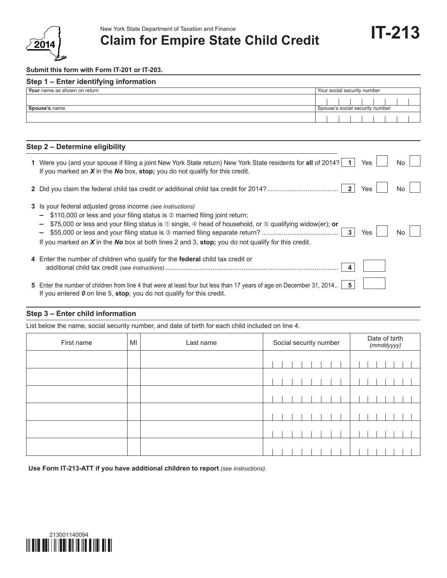

# New York State Department of Taxation and Finance<br> **Claim for Empire State Child Credit IT-213**

#### **Submit this form with Form IT-201 or IT-203.**

| Step 1 - Enter identifying information |                                 |  |  |  |  |  |  |  |  |
|----------------------------------------|---------------------------------|--|--|--|--|--|--|--|--|
| Your name as shown on return           | Your social security number     |  |  |  |  |  |  |  |  |
|                                        |                                 |  |  |  |  |  |  |  |  |
| Spouse's name                          | Spouse's social security number |  |  |  |  |  |  |  |  |
|                                        |                                 |  |  |  |  |  |  |  |  |

### **Step 2 – Determine eligibility**

| Were you (and your spouse if filing a joint New York State return) New York State residents for all of 2014? 1<br>If you marked an $X$ in the No box, stop; you do not qualify for this credit.                                                                                                                                                                                          | Yes | No. |
|------------------------------------------------------------------------------------------------------------------------------------------------------------------------------------------------------------------------------------------------------------------------------------------------------------------------------------------------------------------------------------------|-----|-----|
|                                                                                                                                                                                                                                                                                                                                                                                          | Yes | No. |
| 3 Is your federal adjusted gross income (see instructions)<br>\$110,000 or less and your filing status is 2 married filing joint return;<br>\$75,000 or less and your filing status is $\odot$ single, $\circledast$ head of household, or $\circledast$ qualifying widow(er); or<br>If you marked an $X$ in the No box at both lines 2 and 3, stop; you do not qualify for this credit. | Yes | No. |
| 4 Enter the number of children who qualify for the <b>federal</b> child tax credit or                                                                                                                                                                                                                                                                                                    |     |     |
| 5 Enter the number of children from line 4 that were at least four but less than 17 years of age on December 31, 2014.<br>If you entered $\boldsymbol{0}$ on line 5, stop; you do not qualify for this credit.                                                                                                                                                                           |     |     |

### **Step 3 – Enter child information**

List below the name, social security number, and date of birth for each child included on line 4.

| First name | MI | Last name | Social security number |  |  |  |  | Date of birth<br>$(mm$ ddyyyy) |  |  |  |  |  |  |  |  |  |
|------------|----|-----------|------------------------|--|--|--|--|--------------------------------|--|--|--|--|--|--|--|--|--|
|            |    |           |                        |  |  |  |  |                                |  |  |  |  |  |  |  |  |  |
|            |    |           |                        |  |  |  |  |                                |  |  |  |  |  |  |  |  |  |
|            |    |           |                        |  |  |  |  |                                |  |  |  |  |  |  |  |  |  |
|            |    |           |                        |  |  |  |  |                                |  |  |  |  |  |  |  |  |  |
|            |    |           |                        |  |  |  |  |                                |  |  |  |  |  |  |  |  |  |
|            |    |           |                        |  |  |  |  |                                |  |  |  |  |  |  |  |  |  |

**Use Form IT-213-ATT if you have additional children to report** *(see instructions).*